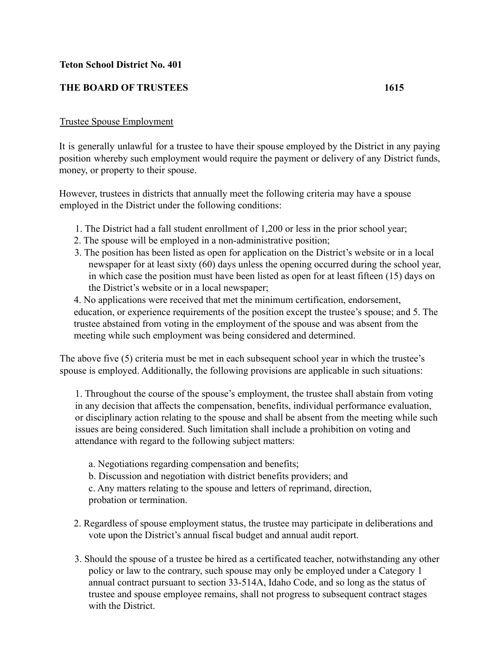## **Teton School District No. 401**

## **THE BOARD OF TRUSTEES 1615**

## Trustee Spouse Employment

It is generally unlawful for a trustee to have their spouse employed by the District in any paying position whereby such employment would require the payment or delivery of any District funds, money, or property to their spouse.

However, trustees in districts that annually meet the following criteria may have a spouse employed in the District under the following conditions:

- 1. The District had a fall student enrollment of 1,200 or less in the prior school year;
- 2. The spouse will be employed in a non-administrative position;
- 3. The position has been listed as open for application on the District's website or in a local newspaper for at least sixty (60) days unless the opening occurred during the school year, in which case the position must have been listed as open for at least fifteen (15) days on the District's website or in a local newspaper;

4. No applications were received that met the minimum certification, endorsement, education, or experience requirements of the position except the trustee's spouse; and 5. The trustee abstained from voting in the employment of the spouse and was absent from the meeting while such employment was being considered and determined.

The above five (5) criteria must be met in each subsequent school year in which the trustee's spouse is employed. Additionally, the following provisions are applicable in such situations:

1. Throughout the course of the spouse's employment, the trustee shall abstain from voting in any decision that affects the compensation, benefits, individual performance evaluation, or disciplinary action relating to the spouse and shall be absent from the meeting while such issues are being considered. Such limitation shall include a prohibition on voting and attendance with regard to the following subject matters:

- a. Negotiations regarding compensation and benefits;
- b. Discussion and negotiation with district benefits providers; and

c. Any matters relating to the spouse and letters of reprimand, direction, probation or termination.

- 2. Regardless of spouse employment status, the trustee may participate in deliberations and vote upon the District's annual fiscal budget and annual audit report.
- 3. Should the spouse of a trustee be hired as a certificated teacher, notwithstanding any other policy or law to the contrary, such spouse may only be employed under a Category 1 annual contract pursuant to section 33-514A, Idaho Code, and so long as the status of trustee and spouse employee remains, shall not progress to subsequent contract stages with the District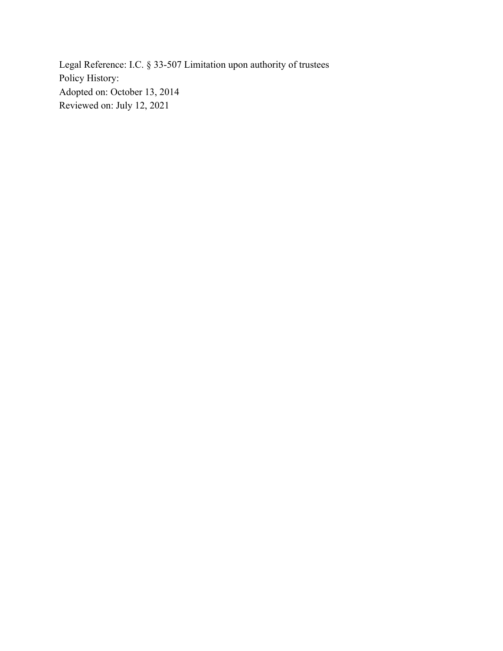Legal Reference: I.C. § 33-507 Limitation upon authority of trustees Policy History: Adopted on: October 13, 2014 Reviewed on: July 12, 2021